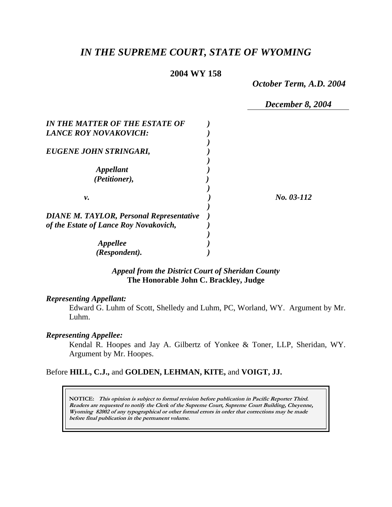# *IN THE SUPREME COURT, STATE OF WYOMING*

#### **2004 WY 158**

*October Term, A.D. 2004* 

*December 8, 2004* 

| IN THE MATTER OF THE ESTATE OF                  |            |
|-------------------------------------------------|------------|
| <b>LANCE ROY NOVAKOVICH:</b>                    |            |
|                                                 |            |
| EUGENE JOHN STRINGARI,                          |            |
|                                                 |            |
| Appellant                                       |            |
| (Petitioner),                                   |            |
|                                                 |            |
| ν.                                              | No. 03-112 |
|                                                 |            |
| <b>DIANE M. TAYLOR, Personal Representative</b> |            |
| of the Estate of Lance Roy Novakovich,          |            |
|                                                 |            |
| Appellee                                        |            |
| (Respondent).                                   |            |

### *Appeal from the District Court of Sheridan County* **The Honorable John C. Brackley, Judge**

#### *Representing Appellant:*

Edward G. Luhm of Scott, Shelledy and Luhm, PC, Worland, WY. Argument by Mr. Luhm.

## *Representing Appellee:*

Kendal R. Hoopes and Jay A. Gilbertz of Yonkee & Toner, LLP, Sheridan, WY. Argument by Mr. Hoopes.

## Before **HILL, C.J.,** and **GOLDEN, LEHMAN, KITE,** and **VOIGT, JJ.**

**NOTICE: This opinion is subject to formal revision before publication in Pacific Reporter Third. Readers are requested to notify the Clerk of the Supreme Court, Supreme Court Building, Cheyenne, Wyoming 82002 of any typographical or other formal errors in order that corrections may be made before final publication in the permanent volume.**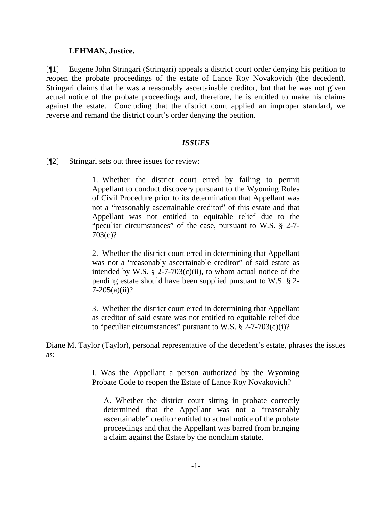#### **LEHMAN, Justice.**

[¶1] Eugene John Stringari (Stringari) appeals a district court order denying his petition to reopen the probate proceedings of the estate of Lance Roy Novakovich (the decedent). Stringari claims that he was a reasonably ascertainable creditor, but that he was not given actual notice of the probate proceedings and, therefore, he is entitled to make his claims against the estate. Concluding that the district court applied an improper standard, we reverse and remand the district court's order denying the petition.

### *ISSUES*

[¶2] Stringari sets out three issues for review:

1. Whether the district court erred by failing to permit Appellant to conduct discovery pursuant to the Wyoming Rules of Civil Procedure prior to its determination that Appellant was not a "reasonably ascertainable creditor" of this estate and that Appellant was not entitled to equitable relief due to the "peculiar circumstances" of the case, pursuant to W.S. § 2-7- 703(c)?

2. Whether the district court erred in determining that Appellant was not a "reasonably ascertainable creditor" of said estate as intended by W.S.  $\S$  2-7-703(c)(ii), to whom actual notice of the pending estate should have been supplied pursuant to W.S. § 2-  $7-205(a)(ii)?$ 

3. Whether the district court erred in determining that Appellant as creditor of said estate was not entitled to equitable relief due to "peculiar circumstances" pursuant to W.S.  $\S$  2-7-703(c)(i)?

Diane M. Taylor (Taylor), personal representative of the decedent's estate, phrases the issues as:

> I. Was the Appellant a person authorized by the Wyoming Probate Code to reopen the Estate of Lance Roy Novakovich?

A. Whether the district court sitting in probate correctly determined that the Appellant was not a "reasonably ascertainable" creditor entitled to actual notice of the probate proceedings and that the Appellant was barred from bringing a claim against the Estate by the nonclaim statute.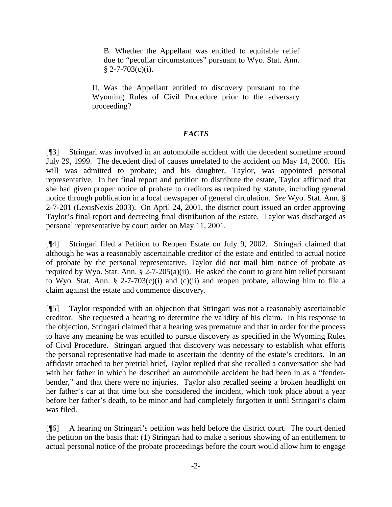B. Whether the Appellant was entitled to equitable relief due to "peculiar circumstances" pursuant to Wyo. Stat. Ann.  $$ 2-7-703(c)(i).$ 

II. Was the Appellant entitled to discovery pursuant to the Wyoming Rules of Civil Procedure prior to the adversary proceeding?

## *FACTS*

[¶3] Stringari was involved in an automobile accident with the decedent sometime around July 29, 1999. The decedent died of causes unrelated to the accident on May 14, 2000. His will was admitted to probate; and his daughter, Taylor, was appointed personal representative. In her final report and petition to distribute the estate, Taylor affirmed that she had given proper notice of probate to creditors as required by statute, including general notice through publication in a local newspaper of general circulation. *See* Wyo. Stat. Ann. § 2-7-201 (LexisNexis 2003). On April 24, 2001, the district court issued an order approving Taylor's final report and decreeing final distribution of the estate. Taylor was discharged as personal representative by court order on May 11, 2001.

[¶4] Stringari filed a Petition to Reopen Estate on July 9, 2002. Stringari claimed that although he was a reasonably ascertainable creditor of the estate and entitled to actual notice of probate by the personal representative, Taylor did not mail him notice of probate as required by Wyo. Stat. Ann. § 2-7-205(a)(ii). He asked the court to grant him relief pursuant to Wyo. Stat. Ann. § 2-7-703(c)(i) and (c)(ii) and reopen probate, allowing him to file a claim against the estate and commence discovery.

[¶5] Taylor responded with an objection that Stringari was not a reasonably ascertainable creditor. She requested a hearing to determine the validity of his claim. In his response to the objection, Stringari claimed that a hearing was premature and that in order for the process to have any meaning he was entitled to pursue discovery as specified in the Wyoming Rules of Civil Procedure. Stringari argued that discovery was necessary to establish what efforts the personal representative had made to ascertain the identity of the estate's creditors. In an affidavit attached to her pretrial brief, Taylor replied that she recalled a conversation she had with her father in which he described an automobile accident he had been in as a "fenderbender," and that there were no injuries. Taylor also recalled seeing a broken headlight on her father's car at that time but she considered the incident, which took place about a year before her father's death, to be minor and had completely forgotten it until Stringari's claim was filed.

[¶6] A hearing on Stringari's petition was held before the district court. The court denied the petition on the basis that: (1) Stringari had to make a serious showing of an entitlement to actual personal notice of the probate proceedings before the court would allow him to engage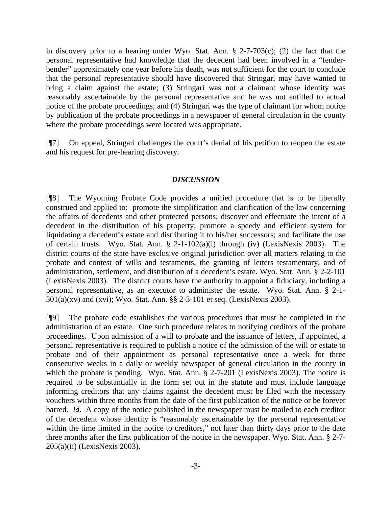in discovery prior to a hearing under Wyo. Stat. Ann. § 2-7-703(c); (2) the fact that the personal representative had knowledge that the decedent had been involved in a "fenderbender" approximately one year before his death, was not sufficient for the court to conclude that the personal representative should have discovered that Stringari may have wanted to bring a claim against the estate; (3) Stringari was not a claimant whose identity was reasonably ascertainable by the personal representative and he was not entitled to actual notice of the probate proceedings; and (4) Stringari was the type of claimant for whom notice by publication of the probate proceedings in a newspaper of general circulation in the county where the probate proceedings were located was appropriate.

[¶7] On appeal, Stringari challenges the court's denial of his petition to reopen the estate and his request for pre-hearing discovery.

#### *DISCUSSION*

[¶8] The Wyoming Probate Code provides a unified procedure that is to be liberally construed and applied to: promote the simplification and clarification of the law concerning the affairs of decedents and other protected persons; discover and effectuate the intent of a decedent in the distribution of his property; promote a speedy and efficient system for liquidating a decedent's estate and distributing it to his/her successors; and facilitate the use of certain trusts. Wyo. Stat. Ann. § 2-1-102(a)(i) through (iv) (LexisNexis 2003). The district courts of the state have exclusive original jurisdiction over all matters relating to the probate and contest of wills and testaments, the granting of letters testamentary, and of administration, settlement, and distribution of a decedent's estate. Wyo. Stat. Ann. § 2-2-101 (LexisNexis 2003). The district courts have the authority to appoint a fiduciary, including a personal representative, as an executor to administer the estate. Wyo. Stat. Ann. § 2-1-  $301(a)(xv)$  and  $(xvi)$ ; Wyo. Stat. Ann. §§ 2-3-101 et seq. (LexisNexis 2003).

[¶9] The probate code establishes the various procedures that must be completed in the administration of an estate. One such procedure relates to notifying creditors of the probate proceedings. Upon admission of a will to probate and the issuance of letters, if appointed, a personal representative is required to publish a notice of the admission of the will or estate to probate and of their appointment as personal representative once a week for three consecutive weeks in a daily or weekly newspaper of general circulation in the county in which the probate is pending. Wyo. Stat. Ann. § 2-7-201 (LexisNexis 2003). The notice is required to be substantially in the form set out in the statute and must include language informing creditors that any claims against the decedent must be filed with the necessary vouchers within three months from the date of the first publication of the notice or be forever barred. *Id*. A copy of the notice published in the newspaper must be mailed to each creditor of the decedent whose identity is "reasonably ascertainable by the personal representative within the time limited in the notice to creditors," not later than thirty days prior to the date three months after the first publication of the notice in the newspaper. Wyo. Stat. Ann. § 2-7- 205(a)(ii) (LexisNexis 2003).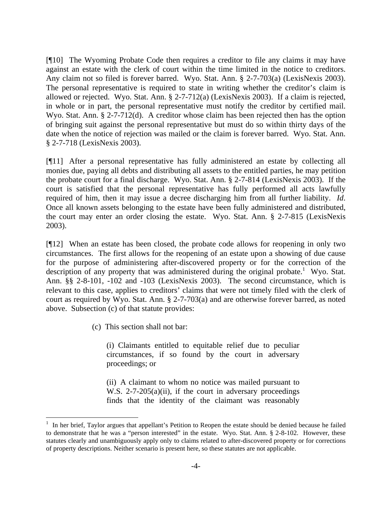[¶10] The Wyoming Probate Code then requires a creditor to file any claims it may have against an estate with the clerk of court within the time limited in the notice to creditors. Any claim not so filed is forever barred. Wyo. Stat. Ann. § 2-7-703(a) (LexisNexis 2003). The personal representative is required to state in writing whether the creditor's claim is allowed or rejected. Wyo. Stat. Ann. § 2-7-712(a) (LexisNexis 2003). If a claim is rejected, in whole or in part, the personal representative must notify the creditor by certified mail. Wyo. Stat. Ann. § 2-7-712(d). A creditor whose claim has been rejected then has the option of bringing suit against the personal representative but must do so within thirty days of the date when the notice of rejection was mailed or the claim is forever barred. Wyo. Stat. Ann. § 2-7-718 (LexisNexis 2003).

[¶11] After a personal representative has fully administered an estate by collecting all monies due, paying all debts and distributing all assets to the entitled parties, he may petition the probate court for a final discharge. Wyo. Stat. Ann. § 2-7-814 (LexisNexis 2003). If the court is satisfied that the personal representative has fully performed all acts lawfully required of him, then it may issue a decree discharging him from all further liability. *Id*. Once all known assets belonging to the estate have been fully administered and distributed, the court may enter an order closing the estate. Wyo. Stat. Ann. § 2-7-815 (LexisNexis 2003).

[¶12] When an estate has been closed, the probate code allows for reopening in only two circumstances. The first allows for the reopening of an estate upon a showing of due cause for the purpose of administering after-discovered property or for the correction of the description of any property that was administered during the original probate.<sup>1</sup> Wyo. Stat. Ann. §§ 2-8-101, -102 and -103 (LexisNexis 2003). The second circumstance, which is relevant to this case, applies to creditors' claims that were not timely filed with the clerk of court as required by Wyo. Stat. Ann. § 2-7-703(a) and are otherwise forever barred, as noted above. Subsection (c) of that statute provides:

(c) This section shall not bar:

 $\overline{\phantom{a}}$ 

(i) Claimants entitled to equitable relief due to peculiar circumstances, if so found by the court in adversary proceedings; or

(ii) A claimant to whom no notice was mailed pursuant to W.S. 2-7-205(a)(ii), if the court in adversary proceedings finds that the identity of the claimant was reasonably

<sup>&</sup>lt;sup>1</sup> In her brief, Taylor argues that appellant's Petition to Reopen the estate should be denied because he failed to demonstrate that he was a "person interested" in the estate. Wyo. Stat. Ann. § 2-8-102. However, these statutes clearly and unambiguously apply only to claims related to after-discovered property or for corrections of property descriptions. Neither scenario is present here, so these statutes are not applicable.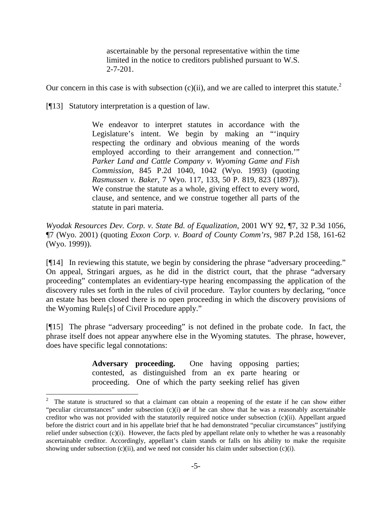ascertainable by the personal representative within the time limited in the notice to creditors published pursuant to W.S.  $2 - 7 - 201$ .

Our concern in this case is with subsection  $(c)(ii)$ , and we are called to interpret this statute.<sup>2</sup>

[¶13] Statutory interpretation is a question of law.

 $\overline{\phantom{a}}$ 

We endeavor to interpret statutes in accordance with the Legislature's intent. We begin by making an "'inquiry respecting the ordinary and obvious meaning of the words employed according to their arrangement and connection.'" *Parker Land and Cattle Company v. Wyoming Game and Fish Commission*, 845 P.2d 1040, 1042 (Wyo. 1993) (quoting *Rasmussen v. Baker*, 7 Wyo. 117, 133, 50 P. 819, 823 (1897)). We construe the statute as a whole, giving effect to every word, clause, and sentence, and we construe together all parts of the statute in pari materia.

*Wyodak Resources Dev. Corp. v. State Bd. of Equalization*, 2001 WY 92, ¶7, 32 P.3d 1056, ¶7 (Wyo. 2001) (quoting *Exxon Corp. v. Board of County Comm'rs*, 987 P.2d 158, 161-62 (Wyo. 1999)).

[¶14] In reviewing this statute, we begin by considering the phrase "adversary proceeding." On appeal, Stringari argues, as he did in the district court, that the phrase "adversary proceeding" contemplates an evidentiary-type hearing encompassing the application of the discovery rules set forth in the rules of civil procedure. Taylor counters by declaring, "once an estate has been closed there is no open proceeding in which the discovery provisions of the Wyoming Rule[s] of Civil Procedure apply."

[¶15] The phrase "adversary proceeding" is not defined in the probate code. In fact, the phrase itself does not appear anywhere else in the Wyoming statutes. The phrase, however, does have specific legal connotations:

> **Adversary proceeding.** One having opposing parties; contested, as distinguished from an ex parte hearing or proceeding. One of which the party seeking relief has given

<sup>2</sup> The statute is structured so that a claimant can obtain a reopening of the estate if he can show either "peculiar circumstances" under subsection (c)(i) *or* if he can show that he was a reasonably ascertainable creditor who was not provided with the statutorily required notice under subsection (c)(ii). Appellant argued before the district court and in his appellate brief that he had demonstrated "peculiar circumstances" justifying relief under subsection (c)(i). However, the facts pled by appellant relate only to whether he was a reasonably ascertainable creditor. Accordingly, appellant's claim stands or falls on his ability to make the requisite showing under subsection  $(c)(ii)$ , and we need not consider his claim under subsection  $(c)(i)$ .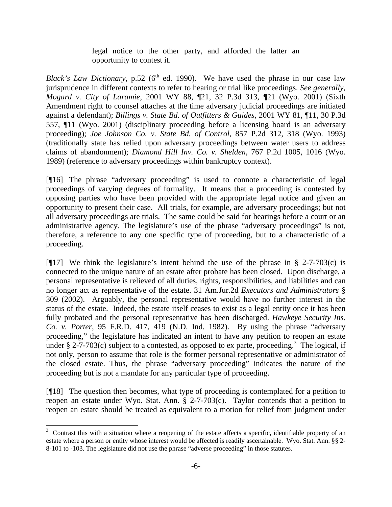legal notice to the other party, and afforded the latter an opportunity to contest it.

*Black's Law Dictionary*, p.52 ( $6<sup>th</sup>$  ed. 1990). We have used the phrase in our case law jurisprudence in different contexts to refer to hearing or trial like proceedings. *See generally, Mogard v. City of Laramie*, 2001 WY 88, ¶21, 32 P.3d 313, ¶21 (Wyo. 2001) (Sixth Amendment right to counsel attaches at the time adversary judicial proceedings are initiated against a defendant); *Billings v. State Bd. of Outfitters & Guides*, 2001 WY 81, ¶11, 30 P.3d 557, ¶11 (Wyo. 2001) (disciplinary proceeding before a licensing board is an adversary proceeding); *Joe Johnson Co. v. State Bd. of Control*, 857 P.2d 312, 318 (Wyo. 1993) (traditionally state has relied upon adversary proceedings between water users to address claims of abandonment); *Diamond Hill Inv. Co. v. Shelden*, 767 P.2d 1005, 1016 (Wyo. 1989) (reference to adversary proceedings within bankruptcy context).

[¶16] The phrase "adversary proceeding" is used to connote a characteristic of legal proceedings of varying degrees of formality. It means that a proceeding is contested by opposing parties who have been provided with the appropriate legal notice and given an opportunity to present their case. All trials, for example, are adversary proceedings; but not all adversary proceedings are trials. The same could be said for hearings before a court or an administrative agency. The legislature's use of the phrase "adversary proceedings" is not, therefore, a reference to any one specific type of proceeding, but to a characteristic of a proceeding.

[ $[17]$ ] We think the legislature's intent behind the use of the phrase in § 2-7-703(c) is connected to the unique nature of an estate after probate has been closed. Upon discharge, a personal representative is relieved of all duties, rights, responsibilities, and liabilities and can no longer act as representative of the estate. 31 Am.Jur.2d *Executors and Administrators* § 309 (2002). Arguably, the personal representative would have no further interest in the status of the estate. Indeed, the estate itself ceases to exist as a legal entity once it has been fully probated and the personal representative has been discharged. *Hawkeye Security Ins. Co. v. Porter*, 95 F.R.D. 417, 419 (N.D. Ind. 1982). By using the phrase "adversary proceeding," the legislature has indicated an intent to have any petition to reopen an estate under § 2-7-703(c) subject to a contested, as opposed to ex parte, proceeding.<sup>3</sup> The logical, if not only, person to assume that role is the former personal representative or administrator of the closed estate. Thus, the phrase "adversary proceeding" indicates the nature of the proceeding but is not a mandate for any particular type of proceeding.

[¶18] The question then becomes, what type of proceeding is contemplated for a petition to reopen an estate under Wyo. Stat. Ann. § 2-7-703(c). Taylor contends that a petition to reopen an estate should be treated as equivalent to a motion for relief from judgment under

 $\overline{\phantom{a}}$ 

 $3$  Contrast this with a situation where a reopening of the estate affects a specific, identifiable property of an estate where a person or entity whose interest would be affected is readily ascertainable. Wyo. Stat. Ann. §§ 2- 8-101 to -103. The legislature did not use the phrase "adverse proceeding" in those statutes.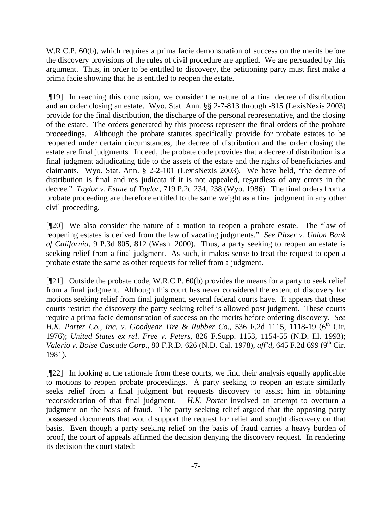W.R.C.P. 60(b), which requires a prima facie demonstration of success on the merits before the discovery provisions of the rules of civil procedure are applied. We are persuaded by this argument. Thus, in order to be entitled to discovery, the petitioning party must first make a prima facie showing that he is entitled to reopen the estate.

[¶19] In reaching this conclusion, we consider the nature of a final decree of distribution and an order closing an estate. Wyo. Stat. Ann. §§ 2-7-813 through -815 (LexisNexis 2003) provide for the final distribution, the discharge of the personal representative, and the closing of the estate. The orders generated by this process represent the final orders of the probate proceedings. Although the probate statutes specifically provide for probate estates to be reopened under certain circumstances, the decree of distribution and the order closing the estate are final judgments. Indeed, the probate code provides that a decree of distribution is a final judgment adjudicating title to the assets of the estate and the rights of beneficiaries and claimants. Wyo. Stat. Ann. § 2-2-101 (LexisNexis 2003). We have held, "the decree of distribution is final and res judicata if it is not appealed, regardless of any errors in the decree." *Taylor v. Estate of Taylor*, 719 P.2d 234, 238 (Wyo. 1986). The final orders from a probate proceeding are therefore entitled to the same weight as a final judgment in any other civil proceeding.

[¶20] We also consider the nature of a motion to reopen a probate estate. The "law of reopening estates is derived from the law of vacating judgments." *See Pitzer v. Union Bank of California*, 9 P.3d 805, 812 (Wash. 2000). Thus, a party seeking to reopen an estate is seeking relief from a final judgment. As such, it makes sense to treat the request to open a probate estate the same as other requests for relief from a judgment.

[¶21] Outside the probate code, W.R.C.P. 60(b) provides the means for a party to seek relief from a final judgment. Although this court has never considered the extent of discovery for motions seeking relief from final judgment, several federal courts have. It appears that these courts restrict the discovery the party seeking relief is allowed post judgment. These courts require a prima facie demonstration of success on the merits before ordering discovery. *See H.K. Porter Co., Inc. v. Goodyear Tire & Rubber Co., 536 F.2d 1115, 1118-19 (6<sup>th</sup> Cir.)* 1976); *United States ex rel. Free v. Peters*, 826 F.Supp. 1153, 1154-55 (N.D. Ill. 1993); *Valerio v. Boise Cascade Corp*., 80 F.R.D. 626 (N.D. Cal. 1978), *aff'd*, 645 F.2d 699 (9th Cir. 1981).

[¶22] In looking at the rationale from these courts, we find their analysis equally applicable to motions to reopen probate proceedings. A party seeking to reopen an estate similarly seeks relief from a final judgment but requests discovery to assist him in obtaining reconsideration of that final judgment. *H.K. Porter* involved an attempt to overturn a judgment on the basis of fraud. The party seeking relief argued that the opposing party possessed documents that would support the request for relief and sought discovery on that basis. Even though a party seeking relief on the basis of fraud carries a heavy burden of proof, the court of appeals affirmed the decision denying the discovery request. In rendering its decision the court stated: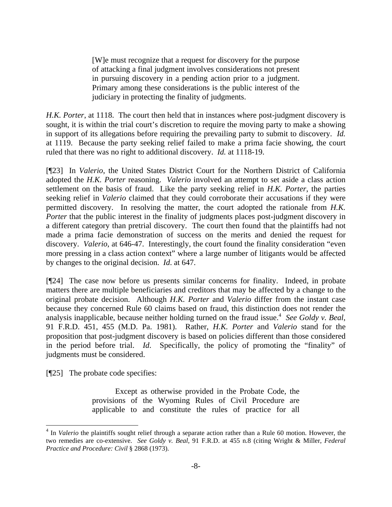[W]e must recognize that a request for discovery for the purpose of attacking a final judgment involves considerations not present in pursuing discovery in a pending action prior to a judgment. Primary among these considerations is the public interest of the judiciary in protecting the finality of judgments.

*H.K. Porter*, at 1118. The court then held that in instances where post-judgment discovery is sought, it is within the trial court's discretion to require the moving party to make a showing in support of its allegations before requiring the prevailing party to submit to discovery. *Id.* at 1119. Because the party seeking relief failed to make a prima facie showing, the court ruled that there was no right to additional discovery. *Id.* at 1118-19.

[¶23] In *Valerio*, the United States District Court for the Northern District of California adopted the *H.K. Porter* reasoning. *Valerio* involved an attempt to set aside a class action settlement on the basis of fraud. Like the party seeking relief in *H.K. Porter*, the parties seeking relief in *Valerio* claimed that they could corroborate their accusations if they were permitted discovery. In resolving the matter, the court adopted the rationale from *H.K. Porter* that the public interest in the finality of judgments places post-judgment discovery in a different category than pretrial discovery. The court then found that the plaintiffs had not made a prima facie demonstration of success on the merits and denied the request for discovery. *Valerio*, at 646-47. Interestingly, the court found the finality consideration "even more pressing in a class action context" where a large number of litigants would be affected by changes to the original decision. *Id*. at 647.

[¶24] The case now before us presents similar concerns for finality. Indeed, in probate matters there are multiple beneficiaries and creditors that may be affected by a change to the original probate decision. Although *H.K. Porter* and *Valerio* differ from the instant case because they concerned Rule 60 claims based on fraud, this distinction does not render the analysis inapplicable, because neither holding turned on the fraud issue.<sup>4</sup> See Goldy v. Beal, 91 F.R.D. 451, 455 (M.D. Pa. 1981). Rather, *H.K. Porter* and *Valerio* stand for the proposition that post-judgment discovery is based on policies different than those considered in the period before trial. *Id*. Specifically, the policy of promoting the "finality" of judgments must be considered.

[¶25] The probate code specifies:

 $\overline{\phantom{a}}$ 

 Except as otherwise provided in the Probate Code, the provisions of the Wyoming Rules of Civil Procedure are applicable to and constitute the rules of practice for all

<sup>&</sup>lt;sup>4</sup> In *Valerio* the plaintiffs sought relief through a separate action rather than a Rule 60 motion. However, the two remedies are co-extensive. *See Goldy v. Beal*, 91 F.R.D. at 455 n.8 (citing Wright & Miller, *Federal Practice and Procedure: Civil* § 2868 (1973).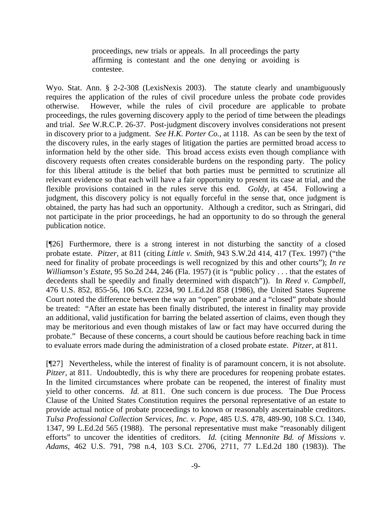proceedings, new trials or appeals. In all proceedings the party affirming is contestant and the one denying or avoiding is contestee.

Wyo. Stat. Ann. § 2-2-308 (LexisNexis 2003). The statute clearly and unambiguously requires the application of the rules of civil procedure unless the probate code provides otherwise. However, while the rules of civil procedure are applicable to probate proceedings, the rules governing discovery apply to the period of time between the pleadings and trial. *See* W.R.C.P. 26-37. Post-judgment discovery involves considerations not present in discovery prior to a judgment. *See H.K. Porter Co.*, at 1118. As can be seen by the text of the discovery rules, in the early stages of litigation the parties are permitted broad access to information held by the other side. This broad access exists even though compliance with discovery requests often creates considerable burdens on the responding party. The policy for this liberal attitude is the belief that both parties must be permitted to scrutinize all relevant evidence so that each will have a fair opportunity to present its case at trial, and the flexible provisions contained in the rules serve this end. *Goldy*, at 454. Following a judgment, this discovery policy is not equally forceful in the sense that, once judgment is obtained, the party has had such an opportunity. Although a creditor, such as Stringari, did not participate in the prior proceedings, he had an opportunity to do so through the general publication notice.

[¶26] Furthermore, there is a strong interest in not disturbing the sanctity of a closed probate estate. *Pitzer,* at 811 (citing *Little v. Smith*, 943 S.W.2d 414, 417 (Tex. 1997) ("the need for finality of probate proceedings is well recognized by this and other courts"); *In re Williamson's Estate*, 95 So.2d 244, 246 (Fla. 1957) (it is "public policy . . . that the estates of decedents shall be speedily and finally determined with dispatch")). In *Reed v. Campbell*, 476 U.S. 852, 855-56, 106 S.Ct. 2234, 90 L.Ed.2d 858 (1986), the United States Supreme Court noted the difference between the way an "open" probate and a "closed" probate should be treated: "After an estate has been finally distributed, the interest in finality may provide an additional, valid justification for barring the belated assertion of claims, even though they may be meritorious and even though mistakes of law or fact may have occurred during the probate." Because of these concerns, a court should be cautious before reaching back in time to evaluate errors made during the administration of a closed probate estate. *Pitzer,* at 811.

[¶27] Nevertheless, while the interest of finality is of paramount concern, it is not absolute. *Pitzer*, at 811. Undoubtedly, this is why there are procedures for reopening probate estates. In the limited circumstances where probate can be reopened, the interest of finality must yield to other concerns. *Id.* at 811. One such concern is due process. The Due Process Clause of the United States Constitution requires the personal representative of an estate to provide actual notice of probate proceedings to known or reasonably ascertainable creditors. *Tulsa Professional Collection Services, Inc. v. Pope*, 485 U.S. 478, 489-90, 108 S.Ct. 1340, 1347, 99 L.Ed.2d 565 (1988). The personal representative must make "reasonably diligent efforts" to uncover the identities of creditors. *Id.* (citing *Mennonite Bd. of Missions v. Adams*, 462 U.S. 791, 798 n.4, 103 S.Ct. 2706, 2711, 77 L.Ed.2d 180 (1983)). The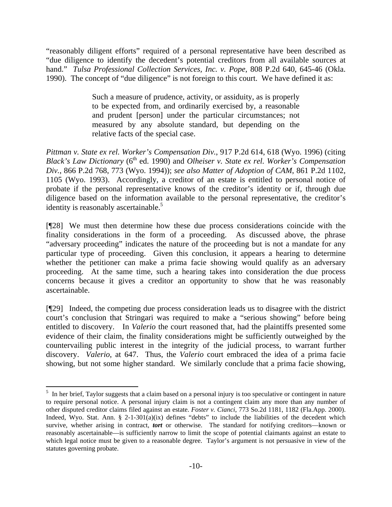"reasonably diligent efforts" required of a personal representative have been described as "due diligence to identify the decedent's potential creditors from all available sources at hand." *Tulsa Professional Collection Services, Inc. v. Pope*, 808 P.2d 640, 645-46 (Okla. 1990). The concept of "due diligence" is not foreign to this court. We have defined it as:

> Such a measure of prudence, activity, or assiduity, as is properly to be expected from, and ordinarily exercised by, a reasonable and prudent [person] under the particular circumstances; not measured by any absolute standard, but depending on the relative facts of the special case.

*Pittman v. State ex rel. Worker's Compensation Div.*, 917 P.2d 614, 618 (Wyo. 1996) (citing *Black's Law Dictionary* (6<sup>th</sup> ed. 1990) and *Olheiser v. State ex rel. Worker's Compensation Div.*, 866 P.2d 768, 773 (Wyo. 1994)); *see also Matter of Adoption of CAM*, 861 P.2d 1102, 1105 (Wyo. 1993). Accordingly, a creditor of an estate is entitled to personal notice of probate if the personal representative knows of the creditor's identity or if, through due diligence based on the information available to the personal representative, the creditor's identity is reasonably ascertainable.<sup>5</sup>

[¶28] We must then determine how these due process considerations coincide with the finality considerations in the form of a proceeding. As discussed above, the phrase "adversary proceeding" indicates the nature of the proceeding but is not a mandate for any particular type of proceeding. Given this conclusion, it appears a hearing to determine whether the petitioner can make a prima facie showing would qualify as an adversary proceeding. At the same time, such a hearing takes into consideration the due process concerns because it gives a creditor an opportunity to show that he was reasonably ascertainable.

[¶29] Indeed, the competing due process consideration leads us to disagree with the district court's conclusion that Stringari was required to make a "serious showing" before being entitled to discovery. In *Valerio* the court reasoned that, had the plaintiffs presented some evidence of their claim, the finality considerations might be sufficiently outweighed by the countervailing public interest in the integrity of the judicial process, to warrant further discovery. *Valerio*, at 647. Thus, the *Valerio* court embraced the idea of a prima facie showing, but not some higher standard. We similarly conclude that a prima facie showing,

 $\overline{\phantom{a}}$ 

 $<sup>5</sup>$  In her brief, Taylor suggests that a claim based on a personal injury is too speculative or contingent in nature</sup> to require personal notice. A personal injury claim is not a contingent claim any more than any number of other disputed creditor claims filed against an estate. *Foster v. Cianci*, 773 So.2d 1181, 1182 (Fla.App. 2000). Indeed, Wyo. Stat. Ann.  $\S$  2-1-301(a)(ix) defines "debts" to include the liabilities of the decedent which survive, whether arising in contract, *tort* or otherwise. The standard for notifying creditors—known or reasonably ascertainable—is sufficiently narrow to limit the scope of potential claimants against an estate to which legal notice must be given to a reasonable degree. Taylor's argument is not persuasive in view of the statutes governing probate.